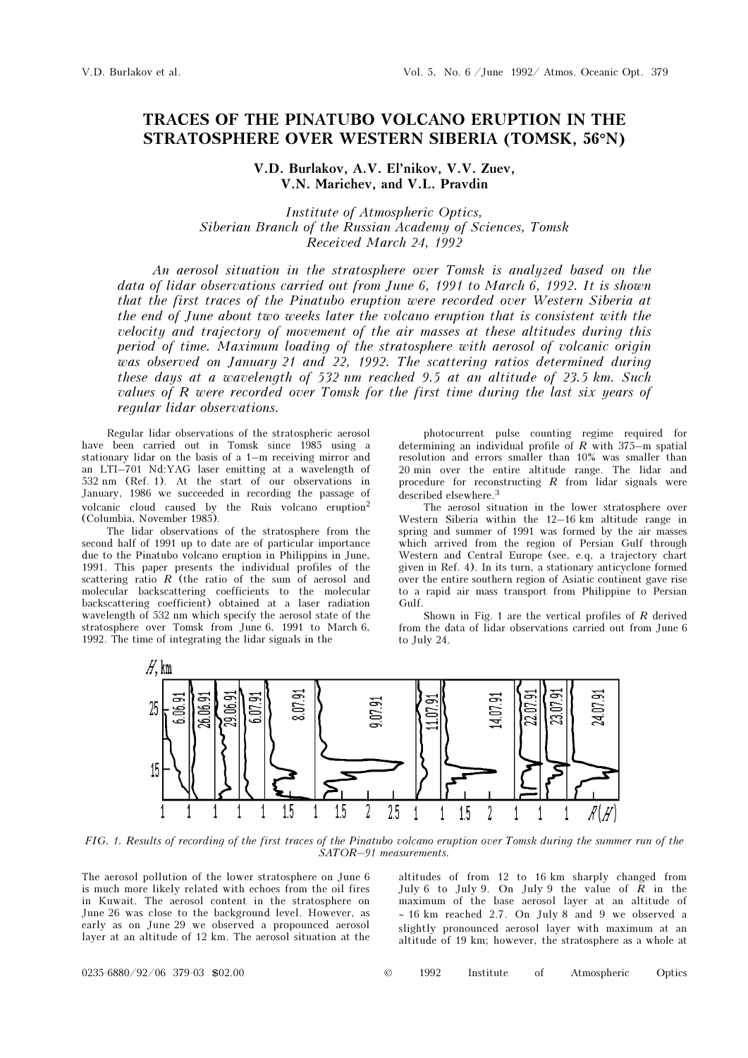## TRACES OF THE PINATUBO VOLCANO ERUPTION IN THE STRATOSPHERE OVER WESTERN SIBERIA (TOMSK, 56°N)

V.D. Burlakov, A.V. El'nikov, V.V. Zuev, V.N. Marichev, and V.L. Pravdin

Institute of Atmospheric Optics, Siberian Branch of the Russian Academy of Sciences, Tomsk Received March 24, 1992

An aerosol situation in the stratosphere over Tomsk is analyzed based on the data of lidar observations carried out from June 6, 1991 to March 6, 1992. It is shown that the first traces of the Pinatubo eruption were recorded over Western Siberia at the end of June about two weeks later the volcano eruption that is consistent with the velocity and trajectory of movement of the air masses at these altitudes during this period of time. Maximum loading of the stratosphere with aerosol of volcanic origin was observed on January 21 and 22, 1992. The scattering ratios determined during these days at a wavelength of 532 nm reached 9.5 at an altitude of 23.5 km. Such values of R were recorded over Tomsk for the first time during the last six years of regular lidar observations.

Regular lidar observations of the stratospheric aerosol have been carried out in Tomsk since 1985 using a stationary lidar on the basis of a 1–m receiving mirror and an LTI–701 Nd:YAG laser emitting at a wavelength of 532 nm (Ref. 1). At the start of our observations in January, 1986 we succeeded in recording the passage of volcanic cloud caused by the Ruis volcano eruption<sup>2</sup> (Columbia, November 1985).

The lidar observations of the stratosphere from the second half of 1991 up to date are of particular importance due to the Pinatubo volcano eruption in Philippins in June, 1991. This paper presents the individual profiles of the scattering ratio  $R$  (the ratio of the sum of aerosol and molecular backscattering coefficients to the molecular backscattering coefficient) obtained at a laser radiation wavelength of 532 nm which specify the aerosol state of the stratosphere over Tomsk from June 6, 1991 to March 6, 1992. The time of integrating the lidar signals in the

photocurrent pulse counting regime required for determining an individual profile of  $R$  with 375-m spatial resolution and errors smaller than 10% was smaller than 20 min over the entire altitude range. The lidar and procedure for reconstructing  $R$  from lidar signals were described elsewhere.<sup>3</sup>

The aerosol situation in the lower stratosphere over Western Siberia within the 12–16 km altitude range in spring and summer of 1991 was formed by the air masses which arrived from the region of Persian Gulf through Western and Central Europe (see, e.q, a trajectory chart given in Ref. 4). In its turn, a stationary anticyclone formed over the entire southern region of Asiatic continent gave rise to a rapid air mass transport from Philippine to Persian Gulf.

Shown in Fig. 1 are the vertical profiles of  $R$  derived from the data of lidar observations carried out from June 6 to July 24.



FIG. 1. Results of recording of the first traces of the Pinatubo volcano eruption over Tomsk during the summer run of the SATOR–91 measurements.

The aerosol pollution of the lower stratosphere on June 6 is much more likely related with echoes from the oil fires in Kuwait. The aerosol content in the stratosphere on June 26 was close to the background level. However, as early as on June 29 we observed a propounced aerosol layer at an altitude of 12 km. The aerosol situation at the

altitudes of from 12 to 16 km sharply changed from July 6 to July 9. On July 9 the value of  $\overrightarrow{R}$  in the maximum of the base aerosol layer at an altitude of ∼ 16 km reached 2.7. On July 8 and 9 we observed a slightly pronounced aerosol layer with maximum at an altitude of 19 km; however, the stratosphere as a whole at

0235-6880/92/06 379-03 \$02.00 © 1992 Institute of Atmospheric Optics